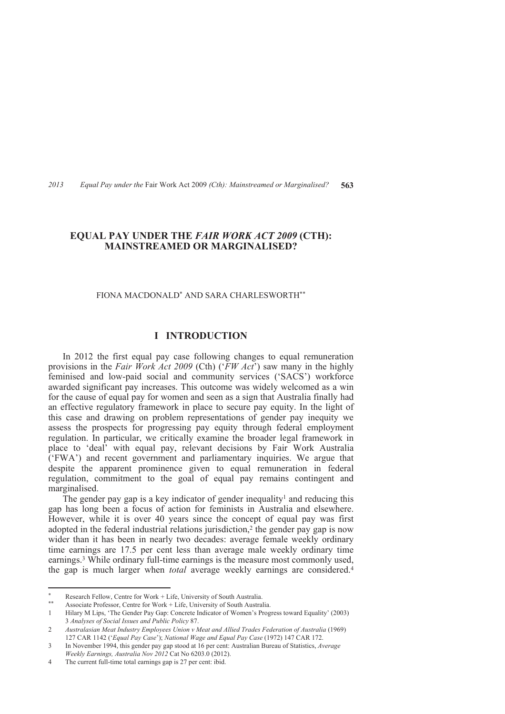# **EQUAL PAY UNDER THE** *FAIR WORK ACT 2009* **(CTH): MAINSTREAMED OR MARGINALISED?**

#### FIONA MACDONALD\* AND SARA CHARLESWORTH\*\*

### **I INTRODUCTION**

In 2012 the first equal pay case following changes to equal remuneration provisions in the *Fair Work Act 2009* (Cth) ('*FW Act*') saw many in the highly feminised and low-paid social and community services ('SACS') workforce awarded significant pay increases. This outcome was widely welcomed as a win for the cause of equal pay for women and seen as a sign that Australia finally had an effective regulatory framework in place to secure pay equity. In the light of this case and drawing on problem representations of gender pay inequity we assess the prospects for progressing pay equity through federal employment regulation. In particular, we critically examine the broader legal framework in place to 'deal' with equal pay, relevant decisions by Fair Work Australia ('FWA') and recent government and parliamentary inquiries. We argue that despite the apparent prominence given to equal remuneration in federal regulation, commitment to the goal of equal pay remains contingent and marginalised.

The gender pay gap is a key indicator of gender inequality<sup>1</sup> and reducing this gap has long been a focus of action for feminists in Australia and elsewhere. However, while it is over 40 years since the concept of equal pay was first adopted in the federal industrial relations jurisdiction,<sup>2</sup> the gender pay gap is now wider than it has been in nearly two decades: average female weekly ordinary time earnings are 17.5 per cent less than average male weekly ordinary time earnings.<sup>3</sup> While ordinary full-time earnings is the measure most commonly used, the gap is much larger when *total* average weekly earnings are considered.<sup>4</sup>

<sup>\*</sup> \* Research Fellow, Centre for Work + Life, University of South Australia.

Associate Professor, Centre for Work + Life, University of South Australia.

<sup>1</sup> Hilary M Lips, 'The Gender Pay Gap: Concrete Indicator of Women's Progress toward Equality' (2003) 3 *Analyses of Social Issues and Public Policy* 87.

<sup>2</sup> *Australasian Meat Industry Employees Union v Meat and Allied Trades Federation of Australia* (1969) 127 CAR 1142 ('*Equal Pay Case*'); *National Wage and Equal Pay Case* (1972) 147 CAR 172.

<sup>3</sup> In November 1994, this gender pay gap stood at 16 per cent: Australian Bureau of Statistics, *Average Weekly Earnings, Australia Nov 2012* Cat No 6203.0 (2012).

<sup>4</sup> The current full-time total earnings gap is 27 per cent: ibid.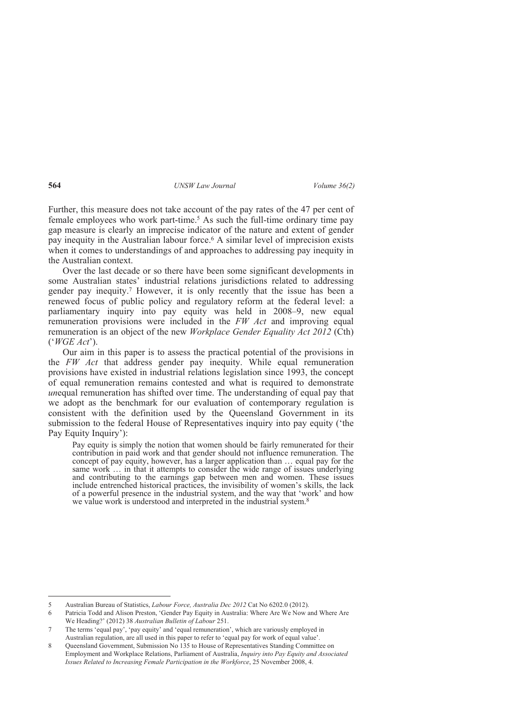Further, this measure does not take account of the pay rates of the 47 per cent of female employees who work part-time.<sup>5</sup> As such the full-time ordinary time pay gap measure is clearly an imprecise indicator of the nature and extent of gender pay inequity in the Australian labour force.<sup>6</sup> A similar level of imprecision exists when it comes to understandings of and approaches to addressing pay inequity in the Australian context.

Over the last decade or so there have been some significant developments in some Australian states' industrial relations jurisdictions related to addressing gender pay inequity.<sup>7</sup> However, it is only recently that the issue has been a renewed focus of public policy and regulatory reform at the federal level: a parliamentary inquiry into pay equity was held in 2008–9, new equal remuneration provisions were included in the *FW Act* and improving equal remuneration is an object of the new *Workplace Gender Equality Act 2012* (Cth) ('*WGE Act*').

Our aim in this paper is to assess the practical potential of the provisions in the *FW Act* that address gender pay inequity. While equal remuneration provisions have existed in industrial relations legislation since 1993, the concept of equal remuneration remains contested and what is required to demonstrate *unequal remuneration has shifted over time. The understanding of equal pay that* we adopt as the benchmark for our evaluation of contemporary regulation is consistent with the definition used by the Queensland Government in its submission to the federal House of Representatives inquiry into pay equity ('the Pay Equity Inquiry'):

Pay equity is simply the notion that women should be fairly remunerated for their contribution in paid work and that gender should not influence remuneration. The concept of pay equity, however, has a larger application than … equal pay for the same work … in that it attempts to consider the wide range of issues underlying and contributing to the earnings gap between men and women. These issues include entrenched historical practices, the invisibility of women's skills, the lack of a powerful presence in the industrial system, and the way that 'work' and how we value work is understood and interpreted in the industrial system.<sup>8</sup>

<sup>5</sup> Australian Bureau of Statistics, *Labour Force, Australia Dec 2012* Cat No 6202.0 (2012).

<sup>6</sup> Patricia Todd and Alison Preston, 'Gender Pay Equity in Australia: Where Are We Now and Where Are We Heading?' (2012) 38 *Australian Bulletin of Labour* 251.

<sup>7</sup> The terms 'equal pay', 'pay equity' and 'equal remuneration', which are variously employed in Australian regulation, are all used in this paper to refer to 'equal pay for work of equal value'.

<sup>8</sup> Queensland Government, Submission No 135 to House of Representatives Standing Committee on Employment and Workplace Relations, Parliament of Australia, *Inquiry into Pay Equity and Associated Issues Related to Increasing Female Participation in the Workforce*, 25 November 2008, 4.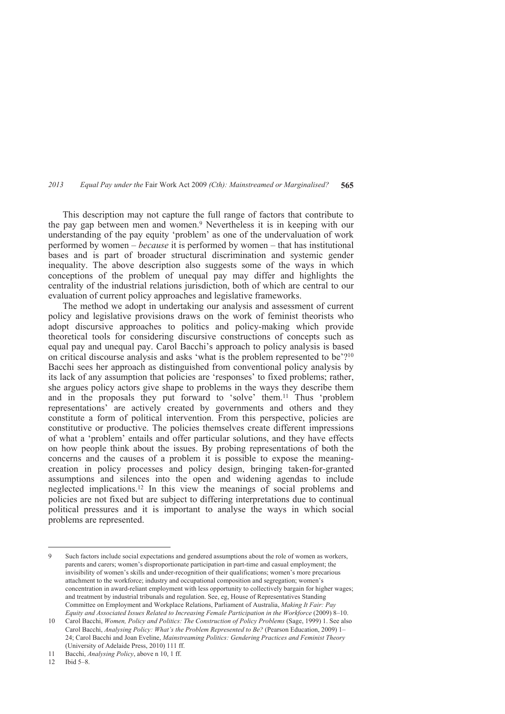This description may not capture the full range of factors that contribute to the pay gap between men and women.<sup>9</sup> Nevertheless it is in keeping with our understanding of the pay equity 'problem' as one of the undervaluation of work performed by women – *because* it is performed by women – that has institutional bases and is part of broader structural discrimination and systemic gender inequality. The above description also suggests some of the ways in which conceptions of the problem of unequal pay may differ and highlights the centrality of the industrial relations jurisdiction, both of which are central to our evaluation of current policy approaches and legislative frameworks.

The method we adopt in undertaking our analysis and assessment of current policy and legislative provisions draws on the work of feminist theorists who adopt discursive approaches to politics and policy-making which provide theoretical tools for considering discursive constructions of concepts such as equal pay and unequal pay. Carol Bacchi's approach to policy analysis is based on critical discourse analysis and asks 'what is the problem represented to be'?<sup>10</sup> Bacchi sees her approach as distinguished from conventional policy analysis by its lack of any assumption that policies are 'responses' to fixed problems; rather, she argues policy actors give shape to problems in the ways they describe them and in the proposals they put forward to 'solve' them.11 Thus 'problem representations' are actively created by governments and others and they constitute a form of political intervention. From this perspective, policies are constitutive or productive. The policies themselves create different impressions of what a 'problem' entails and offer particular solutions, and they have effects on how people think about the issues. By probing representations of both the concerns and the causes of a problem it is possible to expose the meaningcreation in policy processes and policy design, bringing taken-for-granted assumptions and silences into the open and widening agendas to include neglected implications.12 In this view the meanings of social problems and policies are not fixed but are subject to differing interpretations due to continual political pressures and it is important to analyse the ways in which social problems are represented.

<sup>9</sup> Such factors include social expectations and gendered assumptions about the role of women as workers, parents and carers; women's disproportionate participation in part-time and casual employment; the invisibility of women's skills and under-recognition of their qualifications; women's more precarious attachment to the workforce; industry and occupational composition and segregation; women's concentration in award-reliant employment with less opportunity to collectively bargain for higher wages; and treatment by industrial tribunals and regulation. See, eg, House of Representatives Standing Committee on Employment and Workplace Relations, Parliament of Australia, *Making It Fair: Pay Equity and Associated Issues Related to Increasing Female Participation in the Workforce* (2009) 8–10.

<sup>10</sup> Carol Bacchi, *Women, Policy and Politics: The Construction of Policy Problems* (Sage, 1999) 1. See also Carol Bacchi, *Analysing Policy: What's the Problem Represented to Be?* (Pearson Education, 2009) 1– 24; Carol Bacchi and Joan Eveline, *Mainstreaming Politics: Gendering Practices and Feminist Theory* (University of Adelaide Press, 2010) 111 ff.

<sup>11</sup> Bacchi, *Analysing Policy*, above n 10, 1 ff.

<sup>12</sup> Ibid 5–8.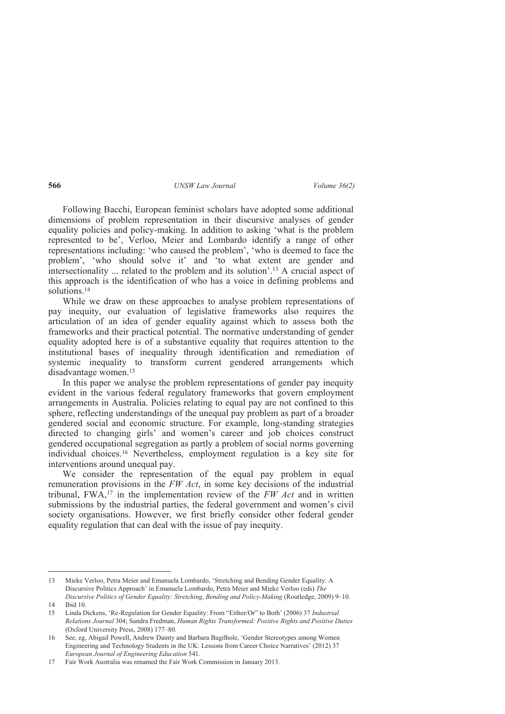Following Bacchi, European feminist scholars have adopted some additional dimensions of problem representation in their discursive analyses of gender equality policies and policy-making. In addition to asking 'what is the problem represented to be', Verloo, Meier and Lombardo identify a range of other representations including: 'who caused the problem', 'who is deemed to face the problem', 'who should solve it' and 'to what extent are gender and intersectionality ... related to the problem and its solution'.13 A crucial aspect of this approach is the identification of who has a voice in defining problems and solutions.<sup>14</sup>

While we draw on these approaches to analyse problem representations of pay inequity, our evaluation of legislative frameworks also requires the articulation of an idea of gender equality against which to assess both the frameworks and their practical potential. The normative understanding of gender equality adopted here is of a substantive equality that requires attention to the institutional bases of inequality through identification and remediation of systemic inequality to transform current gendered arrangements which disadvantage women.<sup>15</sup>

In this paper we analyse the problem representations of gender pay inequity evident in the various federal regulatory frameworks that govern employment arrangements in Australia. Policies relating to equal pay are not confined to this sphere, reflecting understandings of the unequal pay problem as part of a broader gendered social and economic structure. For example, long-standing strategies directed to changing girls' and women's career and job choices construct gendered occupational segregation as partly a problem of social norms governing individual choices.16 Nevertheless, employment regulation is a key site for interventions around unequal pay.

We consider the representation of the equal pay problem in equal remuneration provisions in the *FW Act*, in some key decisions of the industrial tribunal, FWA,17 in the implementation review of the *FW Act* and in written submissions by the industrial parties, the federal government and women's civil society organisations. However, we first briefly consider other federal gender equality regulation that can deal with the issue of pay inequity.

 $\overline{a}$ 13 Mieke Verloo, Petra Meier and Emanuela Lombardo, 'Stretching and Bending Gender Equality: A Discursive Politics Approach' in Emanuela Lombardo, Petra Meier and Mieke Verloo (eds) *The Discursive Politics of Gender Equality: Stretching, Bending and Policy-Making* (Routledge, 2009) 9–10.

<sup>14</sup> Ibid 10.

<sup>15</sup> Linda Dickens, 'Re-Regulation for Gender Equality: From "Either/Or" to Both' (2006) 37 *Industrial Relations Journal* 304; Sandra Fredman, *Human Rights Transformed: Positive Rights and Positive Duties* (Oxford University Press, 2008) 177–80.

<sup>16</sup> See, eg, Abigail Powell, Andrew Dainty and Barbara Bagilhole, 'Gender Stereotypes among Women Engineering and Technology Students in the UK: Lessons from Career Choice Narratives' (2012) 37 *European Journal of Engineering Education* 541.

<sup>17</sup> Fair Work Australia was renamed the Fair Work Commission in January 2013.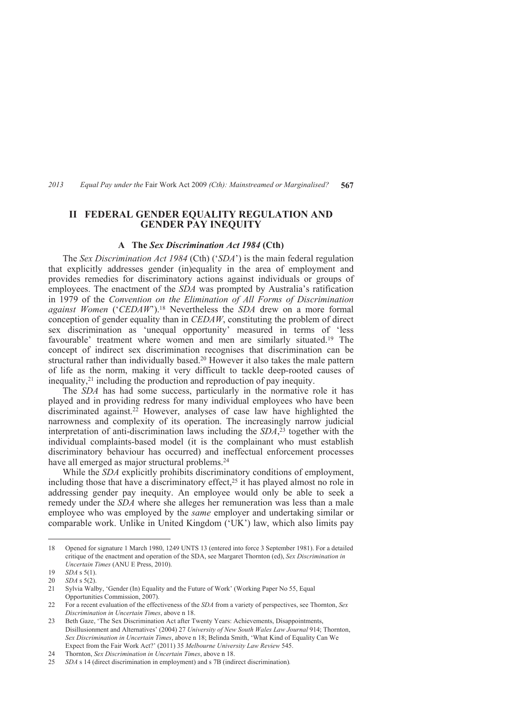# **II FEDERAL GENDER EQUALITY REGULATION AND GENDER PAY INEQUITY**

### **A The** *Sex Discrimination Act 1984* **(Cth)**

The *Sex Discrimination Act 1984* (Cth) ('*SDA*') is the main federal regulation that explicitly addresses gender (in)equality in the area of employment and provides remedies for discriminatory actions against individuals or groups of employees. The enactment of the *SDA* was prompted by Australia's ratification in 1979 of the *Convention on the Elimination of All Forms of Discrimination against Women* ('*CEDAW*').18 Nevertheless the *SDA* drew on a more formal conception of gender equality than in *CEDAW*, constituting the problem of direct sex discrimination as 'unequal opportunity' measured in terms of 'less favourable' treatment where women and men are similarly situated.<sup>19</sup> The concept of indirect sex discrimination recognises that discrimination can be structural rather than individually based.20 However it also takes the male pattern of life as the norm, making it very difficult to tackle deep-rooted causes of inequality,21 including the production and reproduction of pay inequity.

The *SDA* has had some success, particularly in the normative role it has played and in providing redress for many individual employees who have been discriminated against.<sup>22</sup> However, analyses of case law have highlighted the narrowness and complexity of its operation. The increasingly narrow judicial interpretation of anti-discrimination laws including the *SDA*, <sup>23</sup> together with the individual complaints-based model (it is the complainant who must establish discriminatory behaviour has occurred) and ineffectual enforcement processes have all emerged as major structural problems.<sup>24</sup>

While the *SDA* explicitly prohibits discriminatory conditions of employment, including those that have a discriminatory effect,<sup>25</sup> it has played almost no role in addressing gender pay inequity. An employee would only be able to seek a remedy under the *SDA* where she alleges her remuneration was less than a male employee who was employed by the *same* employer and undertaking similar or comparable work. Unlike in United Kingdom ('UK') law, which also limits pay

<sup>18</sup> Opened for signature 1 March 1980, 1249 UNTS 13 (entered into force 3 September 1981). For a detailed critique of the enactment and operation of the SDA, see Margaret Thornton (ed), *Sex Discrimination in Uncertain Times* (ANU E Press, 2010).

<sup>19</sup> *SDA* s 5(1).

<sup>20</sup> *SDA* s 5(2).

<sup>21</sup> Sylvia Walby, 'Gender (In) Equality and the Future of Work' (Working Paper No 55, Equal Opportunities Commission, 2007).

<sup>22</sup> For a recent evaluation of the effectiveness of the *SDA* from a variety of perspectives, see Thornton, *Sex Discrimination in Uncertain Times*, above n 18.

<sup>23</sup> Beth Gaze, 'The Sex Discrimination Act after Twenty Years: Achievements, Disappointments, Disillusionment and Alternatives' (2004) 27 *University of New South Wales Law Journal* 914; Thornton, *Sex Discrimination in Uncertain Times*, above n 18; Belinda Smith, 'What Kind of Equality Can We Expect from the Fair Work Act?' (2011) 35 *Melbourne University Law Review* 545.

<sup>24</sup> Thornton, *Sex Discrimination in Uncertain Times*, above n 18.

<sup>25</sup> *SDA* s 14 (direct discrimination in employment) and s 7B (indirect discrimination)*.*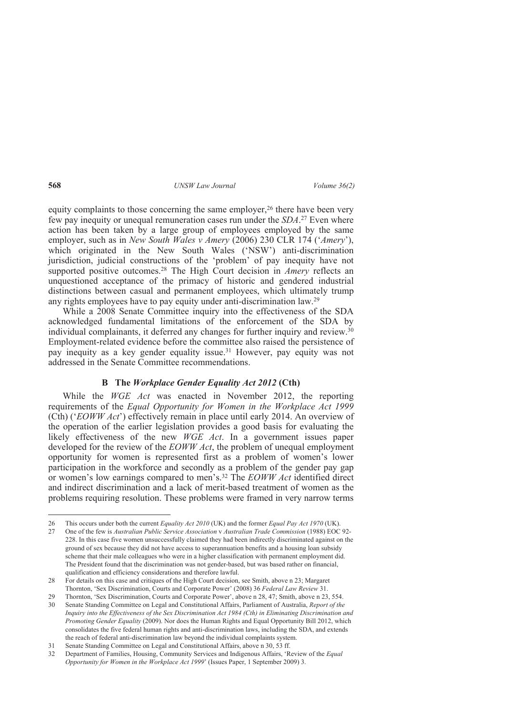equity complaints to those concerning the same employer,<sup>26</sup> there have been very few pay inequity or unequal remuneration cases run under the *SDA*. <sup>27</sup> Even where action has been taken by a large group of employees employed by the same employer, such as in *New South Wales v Amery* (2006) 230 CLR 174 ('*Amery*'), which originated in the New South Wales ('NSW') anti-discrimination jurisdiction, judicial constructions of the 'problem' of pay inequity have not supported positive outcomes.<sup>28</sup> The High Court decision in *Amery* reflects an unquestioned acceptance of the primacy of historic and gendered industrial distinctions between casual and permanent employees, which ultimately trump any rights employees have to pay equity under anti-discrimination law.<sup>29</sup>

While a 2008 Senate Committee inquiry into the effectiveness of the SDA acknowledged fundamental limitations of the enforcement of the SDA by individual complainants, it deferred any changes for further inquiry and review.<sup>30</sup> Employment-related evidence before the committee also raised the persistence of pay inequity as a key gender equality issue.31 However, pay equity was not addressed in the Senate Committee recommendations.

### **B The** *Workplace Gender Equality Act 2012* **(Cth)**

While the *WGE Act* was enacted in November 2012, the reporting requirements of the *Equal Opportunity for Women in the Workplace Act 1999* (Cth) ('*EOWW Act*') effectively remain in place until early 2014. An overview of the operation of the earlier legislation provides a good basis for evaluating the likely effectiveness of the new *WGE Act*. In a government issues paper developed for the review of the *EOWW Act*, the problem of unequal employment opportunity for women is represented first as a problem of women's lower participation in the workforce and secondly as a problem of the gender pay gap or women's low earnings compared to men's.32 The *EOWW Act* identified direct and indirect discrimination and a lack of merit-based treatment of women as the problems requiring resolution. These problems were framed in very narrow terms

<sup>26</sup> This occurs under both the current *Equality Act 2010* (UK) and the former *Equal Pay Act 1970* (UK).

<sup>27</sup> One of the few is *Australian Public Service Association* v *Australian Trade Commission* (1988) EOC 92- 228. In this case five women unsuccessfully claimed they had been indirectly discriminated against on the ground of sex because they did not have access to superannuation benefits and a housing loan subsidy scheme that their male colleagues who were in a higher classification with permanent employment did. The President found that the discrimination was not gender-based, but was based rather on financial, qualification and efficiency considerations and therefore lawful.

<sup>28</sup> For details on this case and critiques of the High Court decision, see Smith, above n 23; Margaret Thornton, 'Sex Discrimination, Courts and Corporate Power' (2008) 36 *Federal Law Review* 31.

<sup>29</sup> Thornton, 'Sex Discrimination, Courts and Corporate Power', above n 28, 47; Smith, above n 23, 554.

<sup>30</sup> Senate Standing Committee on Legal and Constitutional Affairs, Parliament of Australia, *Report of the Inquiry into the Effectiveness of the Sex Discrimination Act 1984 (Cth) in Eliminating Discrimination and Promoting Gender Equality* (2009). Nor does the Human Rights and Equal Opportunity Bill 2012, which consolidates the five federal human rights and anti-discrimination laws, including the SDA, and extends the reach of federal anti-discrimination law beyond the individual complaints system.

<sup>31</sup> Senate Standing Committee on Legal and Constitutional Affairs, above n 30, 53 ff.

<sup>32</sup> Department of Families, Housing, Community Services and Indigenous Affairs, 'Review of the *Equal Opportunity for Women in the Workplace Act 1999*' (Issues Paper, 1 September 2009) 3.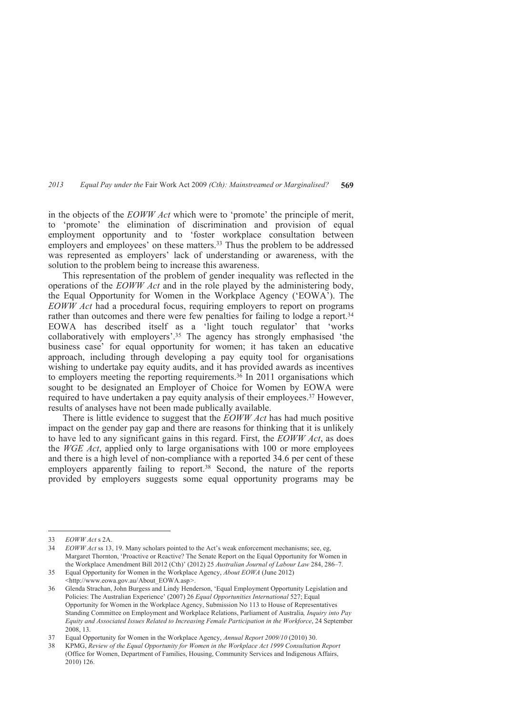in the objects of the *EOWW Act* which were to 'promote' the principle of merit, to 'promote' the elimination of discrimination and provision of equal employment opportunity and to 'foster workplace consultation between employers and employees' on these matters.<sup>33</sup> Thus the problem to be addressed was represented as employers' lack of understanding or awareness, with the solution to the problem being to increase this awareness.

This representation of the problem of gender inequality was reflected in the operations of the *EOWW Act* and in the role played by the administering body, the Equal Opportunity for Women in the Workplace Agency ('EOWA'). The *EOWW Act* had a procedural focus, requiring employers to report on programs rather than outcomes and there were few penalties for failing to lodge a report.<sup>34</sup> EOWA has described itself as a 'light touch regulator' that 'works collaboratively with employers'.35 The agency has strongly emphasised 'the business case' for equal opportunity for women; it has taken an educative approach, including through developing a pay equity tool for organisations wishing to undertake pay equity audits, and it has provided awards as incentives to employers meeting the reporting requirements.<sup>36</sup> In 2011 organisations which sought to be designated an Employer of Choice for Women by EOWA were required to have undertaken a pay equity analysis of their employees.37 However, results of analyses have not been made publically available.

There is little evidence to suggest that the *EOWW Act* has had much positive impact on the gender pay gap and there are reasons for thinking that it is unlikely to have led to any significant gains in this regard. First, the *EOWW Act*, as does the *WGE Act*, applied only to large organisations with 100 or more employees and there is a high level of non-compliance with a reported 34.6 per cent of these employers apparently failing to report.<sup>38</sup> Second, the nature of the reports provided by employers suggests some equal opportunity programs may be

<sup>33</sup> *EOWW Act* s 2A.<br>34 *EOWW Act* ss 13.

<sup>34</sup> *EOWW Act* ss 13, 19. Many scholars pointed to the Act's weak enforcement mechanisms; see, eg, Margaret Thornton, 'Proactive or Reactive? The Senate Report on the Equal Opportunity for Women in the Workplace Amendment Bill 2012 (Cth)' (2012) 25 *Australian Journal of Labour Law* 284, 286–7.

<sup>35</sup> Equal Opportunity for Women in the Workplace Agency, *About EOWA* (June 2012) <http://www.eowa.gov.au/ About\_EOWA.asp*>.*

<sup>36</sup> Glenda Strachan, John Burgess and Lindy Henderson, 'Equal Employment Opportunity Legislation and Policies: The Australian Experience' (2007) 26 *Equal Opportunities International* 527; Equal Opportunity for Women in the Workplace Agency, Submission No 113 to House of Representatives Standing Committee on Employment and Workplace Relations, Parliament of Australia*, Inquiry into Pay Equity and Associated Issues Related to Increasing Female Participation in the Workforce*, 24 September 2008, 13.

<sup>37</sup> Equal Opportunity for Women in the Workplace Agency, *Annual Report 2009/10* (2010) 30.

<sup>38</sup> KPMG, *Review of the Equal Opportunity for Women in the Workplace Act 1999 Consultation Report* (Office for Women, Department of Families, Housing, Community Services and Indigenous Affairs, 2010) 126.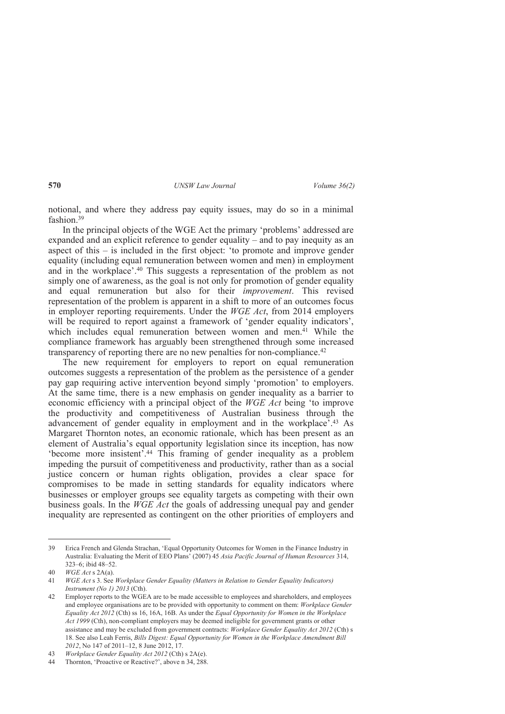notional, and where they address pay equity issues, may do so in a minimal fashion<sup>39</sup>

In the principal objects of the WGE Act the primary 'problems' addressed are expanded and an explicit reference to gender equality – and to pay inequity as an aspect of this – is included in the first object: 'to promote and improve gender equality (including equal remuneration between women and men) in employment and in the workplace'.40 This suggests a representation of the problem as not simply one of awareness, as the goal is not only for promotion of gender equality and equal remuneration but also for their *improvement*. This revised representation of the problem is apparent in a shift to more of an outcomes focus in employer reporting requirements. Under the *WGE Act*, from 2014 employers will be required to report against a framework of 'gender equality indicators', which includes equal remuneration between women and men.<sup>41</sup> While the compliance framework has arguably been strengthened through some increased transparency of reporting there are no new penalties for non-compliance.<sup>42</sup>

The new requirement for employers to report on equal remuneration outcomes suggests a representation of the problem as the persistence of a gender pay gap requiring active intervention beyond simply 'promotion' to employers. At the same time, there is a new emphasis on gender inequality as a barrier to economic efficiency with a principal object of the *WGE Act* being 'to improve the productivity and competitiveness of Australian business through the advancement of gender equality in employment and in the workplace'.43 As Margaret Thornton notes, an economic rationale, which has been present as an element of Australia's equal opportunity legislation since its inception, has now 'become more insistent'.44 This framing of gender inequality as a problem impeding the pursuit of competitiveness and productivity, rather than as a social justice concern or human rights obligation, provides a clear space for compromises to be made in setting standards for equality indicators where businesses or employer groups see equality targets as competing with their own business goals. In the *WGE Act* the goals of addressing unequal pay and gender inequality are represented as contingent on the other priorities of employers and

<sup>39</sup> Erica French and Glenda Strachan, 'Equal Opportunity Outcomes for Women in the Finance Industry in Australia: Evaluating the Merit of EEO Plans' (2007) 45 *Asia Pacific Journal of Human Resources* 314, 323–6; ibid 48–52.

<sup>40</sup> *WGE Act* s 2A(a).

<sup>41</sup> *WGE Act* s 3. See *Workplace Gender Equality (Matters in Relation to Gender Equality Indicators) Instrument (No 1) 2013* (Cth).

<sup>42</sup> Employer reports to the WGEA are to be made accessible to employees and shareholders, and employees and employee organisations are to be provided with opportunity to comment on them: *Workplace Gender Equality Act 2012* (Cth) ss 16, 16A, 16B. As under the *Equal Opportunity for Women in the Workplace Act 1999* (Cth), non-compliant employers may be deemed ineligible for government grants or other assistance and may be excluded from government contracts: *Workplace Gender Equality Act 2012* (Cth) s 18. See also Leah Ferris, *Bills Digest: Equal Opportunity for Women in the Workplace Amendment Bill 2012*, No 147 of 2011–12, 8 June 2012, 17.

<sup>43</sup> *Workplace Gender Equality Act 2012* (Cth) s 2A(e).

<sup>44</sup> Thornton, 'Proactive or Reactive?', above n 34, 288.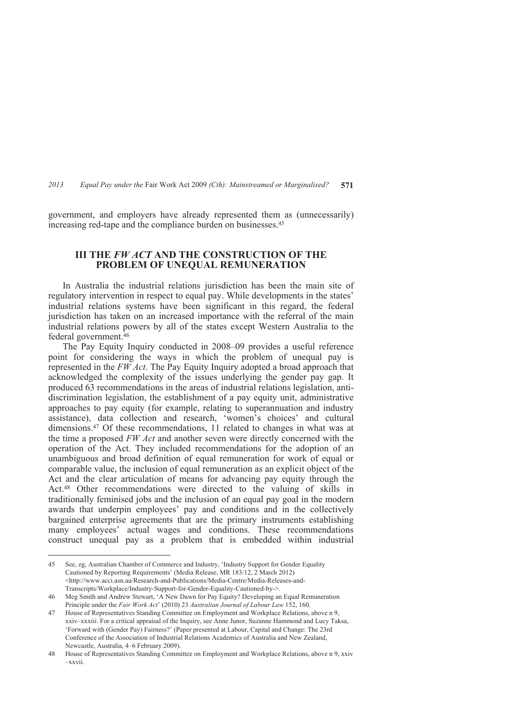government, and employers have already represented them as (unnecessarily) increasing red-tape and the compliance burden on businesses.<sup>45</sup>

# **III THE** *FW ACT* **AND THE CONSTRUCTION OF THE PROBLEM OF UNEQUAL REMUNERATION**

In Australia the industrial relations jurisdiction has been the main site of regulatory intervention in respect to equal pay. While developments in the states' industrial relations systems have been significant in this regard, the federal jurisdiction has taken on an increased importance with the referral of the main industrial relations powers by all of the states except Western Australia to the federal government.<sup>46</sup>

The Pay Equity Inquiry conducted in 2008–09 provides a useful reference point for considering the ways in which the problem of unequal pay is represented in the *FW Act*. The Pay Equity Inquiry adopted a broad approach that acknowledged the complexity of the issues underlying the gender pay gap. It produced 63 recommendations in the areas of industrial relations legislation, antidiscrimination legislation, the establishment of a pay equity unit, administrative approaches to pay equity (for example, relating to superannuation and industry assistance), data collection and research, 'women's choices' and cultural dimensions.47 Of these recommendations, 11 related to changes in what was at the time a proposed *FW Act* and another seven were directly concerned with the operation of the Act. They included recommendations for the adoption of an unambiguous and broad definition of equal remuneration for work of equal or comparable value, the inclusion of equal remuneration as an explicit object of the Act and the clear articulation of means for advancing pay equity through the Act.48 Other recommendations were directed to the valuing of skills in traditionally feminised jobs and the inclusion of an equal pay goal in the modern awards that underpin employees' pay and conditions and in the collectively bargained enterprise agreements that are the primary instruments establishing many employees' actual wages and conditions. These recommendations construct unequal pay as a problem that is embedded within industrial

<sup>45</sup> See, eg, Australian Chamber of Commerce and Industry, 'Industry Support for Gender Equality Cautioned by Reporting Requirements' (Media Release, MR 183/12, 2 March 2012) <http://www.acci.asn.au/Research-and-Publications/Media-Centre/Media-Releases-and-Transcripts/Workplace/Industry-Support-for-Gender-Equality-Cautioned-by->.

<sup>46</sup> Meg Smith and Andrew Stewart, 'A New Dawn for Pay Equity? Developing an Equal Remuneration Principle under the *Fair Work Act*' (2010) 23 *Australian Journal of Labour Law* 152, 160.

<sup>47</sup> House of Representatives Standing Committee on Employment and Workplace Relations, above n 9, xxiv–xxxiii. For a critical appraisal of the Inquiry, see Anne Junor, Suzanne Hammond and Lucy Taksa, 'Forward with (Gender Pay) Fairness?' (Paper presented at Labour, Capital and Change: The 23rd Conference of the Association of Industrial Relations Academics of Australia and New Zealand, Newcastle, Australia, 4–6 February 2009).

<sup>48</sup> House of Representatives Standing Committee on Employment and Workplace Relations, above n 9, xxiv –xxvii.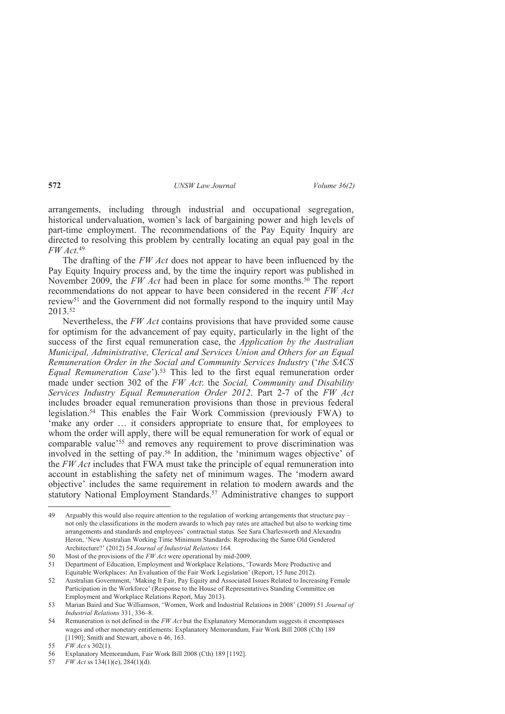arrangements, including through industrial and occupational segregation, historical undervaluation, women's lack of bargaining power and high levels of part-time employment. The recommendations of the Pay Equity Inquiry are directed to resolving this problem by centrally locating an equal pay goal in the *FW Act*. 49

The drafting of the *FW Act* does not appear to have been influenced by the Pay Equity Inquiry process and, by the time the inquiry report was published in November 2009, the *FW Act* had been in place for some months.<sup>50</sup> The report recommendations do not appear to have been considered in the recent *FW Act* review51 and the Government did not formally respond to the inquiry until May 2013.<sup>52</sup>

Nevertheless, the *FW Act* contains provisions that have provided some cause for optimism for the advancement of pay equity, particularly in the light of the success of the first equal remuneration case, the *Application by the Australian Municipal, Administrative, Clerical and Services Union and Others for an Equal Remuneration Order in the Social and Community Services Industry* ('*the SACS Equal Remuneration Case*').53 This led to the first equal remuneration order made under section 302 of the *FW Act*: the *Social, Community and Disability Services Industry Equal Remuneration Order 2012*. Part 2-7 of the *FW Act* includes broader equal remuneration provisions than those in previous federal legislation.54 This enables the Fair Work Commission (previously FWA) to 'make any order ... it considers appropriate to ensure that, for employees to whom the order will apply, there will be equal remuneration for work of equal or comparable value<sup>'55</sup> and removes any requirement to prove discrimination was involved in the setting of pay.56 In addition, the 'minimum wages objective' of the *FW Act* includes that FWA must take the principle of equal remuneration into account in establishing the safety net of minimum wages. The 'modern award objective' includes the same requirement in relation to modern awards and the statutory National Employment Standards.57 Administrative changes to support

<sup>49</sup> Arguably this would also require attention to the regulation of working arrangements that structure pay – not only the classifications in the modern awards to which pay rates are attached but also to working time arrangements and standards and employees' contractual status. See Sara Charlesworth and Alexandra Heron, 'New Australian Working Time Minimum Standards: Reproducing the Same Old Gendered Architecture?' (2012) 54 *Journal of Industrial Relations* 164.

<sup>50</sup> Most of the provisions of the *FW Act* were operational by mid-2009.

<sup>51</sup> Department of Education, Employment and Workplace Relations, 'Towards More Productive and Equitable Workplaces: An Evaluation of the Fair Work Legislation' (Report, 15 June 2012).

<sup>52</sup> Australian Government, 'Making It Fair, Pay Equity and Associated Issues Related to Increasing Female Participation in the Workforce' (Response to the House of Representatives Standing Committee on Employment and Workplace Relations Report, May 2013).

<sup>53</sup> Marian Baird and Sue Williamson, 'Women, Work and Industrial Relations in 2008' (2009) 51 *Journal of Industrial Relations* 331, 336–8.

<sup>54</sup> Remuneration is not defined in the *FW Act* but the Explanatory Memorandum suggests it encompasses wages and other monetary entitlements: Explanatory Memorandum, Fair Work Bill 2008 (Cth) 189 [1190]; Smith and Stewart, above n 46, 163.

<sup>55</sup> *FW Act* s 302(1).

<sup>56</sup> Explanatory Memorandum, Fair Work Bill 2008 (Cth) 189 [1192].

<sup>57</sup> *FW Act* ss 134(1)(e), 284(1)(d).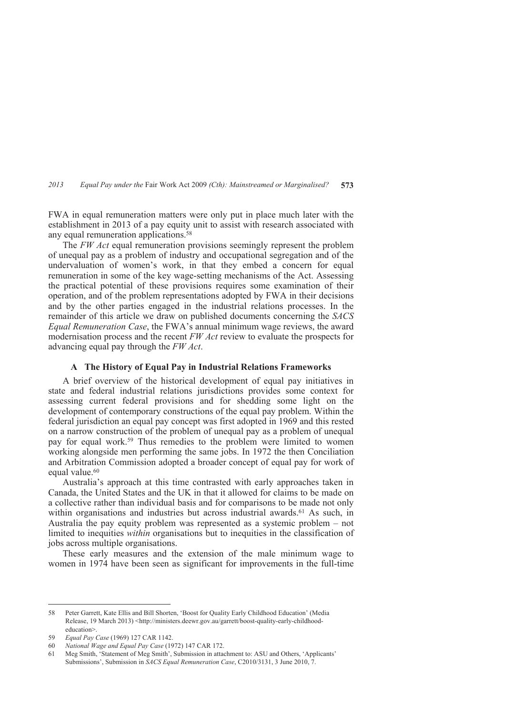FWA in equal remuneration matters were only put in place much later with the establishment in 2013 of a pay equity unit to assist with research associated with any equal remuneration applications.<sup>58</sup>

The *FW Act* equal remuneration provisions seemingly represent the problem of unequal pay as a problem of industry and occupational segregation and of the undervaluation of women's work, in that they embed a concern for equal remuneration in some of the key wage-setting mechanisms of the Act. Assessing the practical potential of these provisions requires some examination of their operation, and of the problem representations adopted by FWA in their decisions and by the other parties engaged in the industrial relations processes. In the remainder of this article we draw on published documents concerning the *SACS Equal Remuneration Case*, the FWA's annual minimum wage reviews, the award modernisation process and the recent *FW Act* review to evaluate the prospects for advancing equal pay through the *FW Act*.

# **A The History of Equal Pay in Industrial Relations Frameworks**

A brief overview of the historical development of equal pay initiatives in state and federal industrial relations jurisdictions provides some context for assessing current federal provisions and for shedding some light on the development of contemporary constructions of the equal pay problem. Within the federal jurisdiction an equal pay concept was first adopted in 1969 and this rested on a narrow construction of the problem of unequal pay as a problem of unequal pay for equal work.59 Thus remedies to the problem were limited to women working alongside men performing the same jobs. In 1972 the then Conciliation and Arbitration Commission adopted a broader concept of equal pay for work of equal value.<sup>60</sup>

Australia's approach at this time contrasted with early approaches taken in Canada, the United States and the UK in that it allowed for claims to be made on a collective rather than individual basis and for comparisons to be made not only within organisations and industries but across industrial awards.<sup>61</sup> As such, in Australia the pay equity problem was represented as a systemic problem – not limited to inequities *within* organisations but to inequities in the classification of jobs across multiple organisations.

These early measures and the extension of the male minimum wage to women in 1974 have been seen as significant for improvements in the full-time

<sup>58</sup> Peter Garrett, Kate Ellis and Bill Shorten, 'Boost for Quality Early Childhood Education' (Media Release, 19 March 2013) <http://ministers.deewr.gov.au/garrett/boost-quality-early-childhoodeducation>.

<sup>59</sup> *Equal Pay Case* (1969) 127 CAR 1142.

<sup>60</sup> *National Wage and Equal Pay Case* (1972) 147 CAR 172.

<sup>61</sup> Meg Smith, 'Statement of Meg Smith', Submission in attachment to: ASU and Others, 'Applicants' Submissions', Submission in *SACS Equal Remuneration Case*, C2010/3131, 3 June 2010, 7.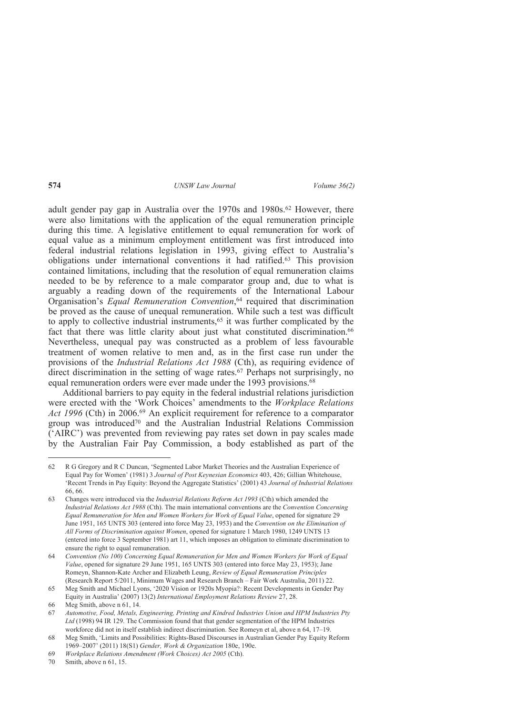adult gender pay gap in Australia over the 1970s and 1980s.<sup>62</sup> However, there were also limitations with the application of the equal remuneration principle during this time. A legislative entitlement to equal remuneration for work of equal value as a minimum employment entitlement was first introduced into federal industrial relations legislation in 1993, giving effect to Australia's obligations under international conventions it had ratified.63 This provision contained limitations, including that the resolution of equal remuneration claims needed to be by reference to a male comparator group and, due to what is arguably a reading down of the requirements of the International Labour Organisation's *Equal Remuneration Convention*, <sup>64</sup> required that discrimination be proved as the cause of unequal remuneration. While such a test was difficult to apply to collective industrial instruments,<sup>65</sup> it was further complicated by the fact that there was little clarity about just what constituted discrimination.<sup>66</sup> Nevertheless, unequal pay was constructed as a problem of less favourable treatment of women relative to men and, as in the first case run under the provisions of the *Industrial Relations Act 1988* (Cth), as requiring evidence of direct discrimination in the setting of wage rates.<sup>67</sup> Perhaps not surprisingly, no equal remuneration orders were ever made under the 1993 provisions.<sup>68</sup>

Additional barriers to pay equity in the federal industrial relations jurisdiction were erected with the 'Work Choices' amendments to the *Workplace Relations Act 1996* (Cth) in 2006.<sup>69</sup> An explicit requirement for reference to a comparator group was introduced70 and the Australian Industrial Relations Commission ('AIRC') was prevented from reviewing pay rates set down in pay scales made by the Australian Fair Pay Commission, a body established as part of the

<sup>62</sup> R G Gregory and R C Duncan, 'Segmented Labor Market Theories and the Australian Experience of Equal Pay for Women' (1981) 3 *Journal of Post Keynesian Economics* 403, 426; Gillian Whitehouse, 'Recent Trends in Pay Equity: Beyond the Aggregate Statistics' (2001) 43 *Journal of Industrial Relations* 66, 66.

<sup>63</sup> Changes were introduced via the *Industrial Relations Reform Act 1993* (Cth) which amended the *Industrial Relations Act 1988* (Cth). The main international conventions are the *Convention Concerning Equal Remuneration for Men and Women Workers for Work of Equal Value*, opened for signature 29 June 1951, 165 UNTS 303 (entered into force May 23, 1953) and the *Convention on the Elimination of All Forms of Discrimination against Women*, opened for signature 1 March 1980, 1249 UNTS 13 (entered into force 3 September 1981) art 11, which imposes an obligation to eliminate discrimination to ensure the right to equal remuneration.

<sup>64</sup> *Convention (No 100) Concerning Equal Remuneration for Men and Women Workers for Work of Equal Value*, opened for signature 29 June 1951, 165 UNTS 303 (entered into force May 23, 1953); Jane Romeyn, Shannon-Kate Archer and Elizabeth Leung, *Review of Equal Remuneration Principles* (Research Report 5/2011, Minimum Wages and Research Branch – Fair Work Australia, 2011) 22.

<sup>65</sup> Meg Smith and Michael Lyons, '2020 Vision or 1920s Myopia?: Recent Developments in Gender Pay Equity in Australia' (2007) 13(2) *International Employment Relations Review* 27, 28.

<sup>66</sup> Meg Smith, above n 61, 14.

<sup>67</sup> *Automotive, Food, Metals, Engineering, Printing and Kindred Industries Union and HPM Industries Pty Ltd* (1998) 94 IR 129. The Commission found that that gender segmentation of the HPM Industries workforce did not in itself establish indirect discrimination. See Romeyn et al, above n 64, 17–19.

<sup>68</sup> Meg Smith, 'Limits and Possibilities: Rights-Based Discourses in Australian Gender Pay Equity Reform 1969–2007' (2011) 18(S1) *Gender, Work & Organization* 180e, 190e.

<sup>69</sup> *Workplace Relations Amendment (Work Choices) Act 2005* (Cth).

<sup>70</sup> Smith, above n 61, 15.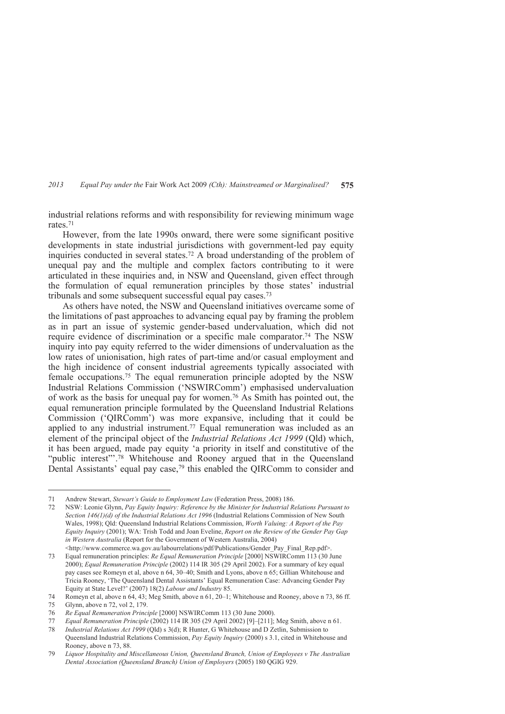industrial relations reforms and with responsibility for reviewing minimum wage rates<sup>71</sup>

However, from the late 1990s onward, there were some significant positive developments in state industrial jurisdictions with government-led pay equity inquiries conducted in several states.72 A broad understanding of the problem of unequal pay and the multiple and complex factors contributing to it were articulated in these inquiries and, in NSW and Queensland, given effect through the formulation of equal remuneration principles by those states' industrial tribunals and some subsequent successful equal pay cases.<sup>73</sup>

As others have noted, the NSW and Queensland initiatives overcame some of the limitations of past approaches to advancing equal pay by framing the problem as in part an issue of systemic gender-based undervaluation, which did not require evidence of discrimination or a specific male comparator.74 The NSW inquiry into pay equity referred to the wider dimensions of undervaluation as the low rates of unionisation, high rates of part-time and/or casual employment and the high incidence of consent industrial agreements typically associated with female occupations.75 The equal remuneration principle adopted by the NSW Industrial Relations Commission ('NSWIRComm') emphasised undervaluation of work as the basis for unequal pay for women.76 As Smith has pointed out, the equal remuneration principle formulated by the Queensland Industrial Relations Commission ('QIRComm') was more expansive, including that it could be applied to any industrial instrument.77 Equal remuneration was included as an element of the principal object of the *Industrial Relations Act 1999* (Qld) which, it has been argued, made pay equity 'a priority in itself and constitutive of the "public interest"'.78 Whitehouse and Rooney argued that in the Queensland Dental Assistants' equal pay case,<sup>79</sup> this enabled the QIRComm to consider and

<sup>71</sup> Andrew Stewart, *Stewart's Guide to Employment Law* (Federation Press, 2008) 186.

<sup>72</sup> NSW: Leonie Glynn, *Pay Equity Inquiry: Reference by the Minister for Industrial Relations Pursuant to Section 146(1)(d) of the Industrial Relations Act 1996* (Industrial Relations Commission of New South Wales, 1998); Qld: Queensland Industrial Relations Commission, *Worth Valuing: A Report of the Pay Equity Inquiry* (2001); WA: Trish Todd and Joan Eveline, *Report on the Review of the Gender Pay Gap in Western Australia* (Report for the Government of Western Australia, 2004) <http://www.commerce.wa.gov.au/labourrelations/pdf/Publications/Gender\_Pay\_Final\_Rep.pdf>.

<sup>73</sup> Equal remuneration principles: *Re Equal Remuneration Principle* [2000] NSWIRComm 113 (30 June 2000); *Equal Remuneration Principle* (2002) 114 IR 305 (29 April 2002). For a summary of key equal pay cases see Romeyn et al, above n 64, 30–40; Smith and Lyons, above n 65; Gillian Whitehouse and Tricia Rooney, 'The Queensland Dental Assistants' Equal Remuneration Case: Advancing Gender Pay Equity at State Level?' (2007) 18(2) *Labour and Industry* 85.

<sup>74</sup> Romeyn et al, above n 64, 43; Meg Smith, above n 61, 20–1; Whitehouse and Rooney, above n 73, 86 ff.

<sup>75</sup> Glynn, above n 72, vol 2, 179.

<sup>76</sup> *Re Equal Remuneration Principle* [2000] NSWIRComm 113 (30 June 2000).

<sup>77</sup> *Equal Remuneration Principle* (2002) 114 IR 305 (29 April 2002) [9]–[211]; Meg Smith, above n 61.

<sup>78</sup> *Industrial Relations Act 1999* (Qld) s 3(d); R Hunter, G Whitehouse and D Zetlin, Submission to Queensland Industrial Relations Commission, *Pay Equity Inquiry* (2000) s 3.1, cited in Whitehouse and Rooney, above n 73, 88.

<sup>79</sup> *Liquor Hospitality and Miscellaneous Union, Queensland Branch, Union of Employees v The Australian Dental Association (Queensland Branch) Union of Employers* (2005) 180 QGIG 929.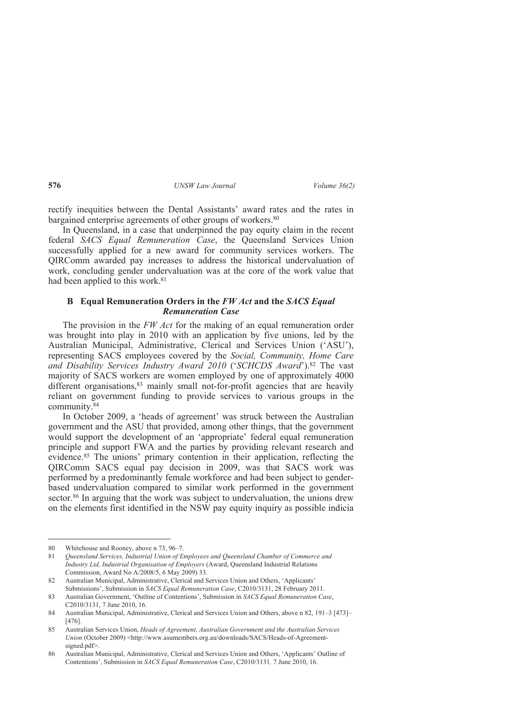rectify inequities between the Dental Assistants' award rates and the rates in bargained enterprise agreements of other groups of workers.<sup>80</sup>

In Queensland, in a case that underpinned the pay equity claim in the recent federal *SACS Equal Remuneration Case*, the Queensland Services Union successfully applied for a new award for community services workers. The QIRComm awarded pay increases to address the historical undervaluation of work, concluding gender undervaluation was at the core of the work value that had been applied to this work.<sup>81</sup>

## **B Equal Remuneration Orders in the** *FW Act* **and the** *SACS Equal Remuneration Case*

The provision in the *FW Act* for the making of an equal remuneration order was brought into play in 2010 with an application by five unions, led by the Australian Municipal, Administrative, Clerical and Services Union ('ASU'), representing SACS employees covered by the *Social, Community, Home Care and Disability Services Industry Award 2010* ('*SCHCDS Award*').82 The vast majority of SACS workers are women employed by one of approximately 4000 different organisations,<sup>83</sup> mainly small not-for-profit agencies that are heavily reliant on government funding to provide services to various groups in the community.<sup>84</sup>

In October 2009, a 'heads of agreement' was struck between the Australian government and the ASU that provided, among other things, that the government would support the development of an 'appropriate' federal equal remuneration principle and support FWA and the parties by providing relevant research and evidence.<sup>85</sup> The unions' primary contention in their application, reflecting the QIRComm SACS equal pay decision in 2009, was that SACS work was performed by a predominantly female workforce and had been subject to genderbased undervaluation compared to similar work performed in the government sector.<sup>86</sup> In arguing that the work was subject to undervaluation, the unions drew on the elements first identified in the NSW pay equity inquiry as possible indicia

<sup>80</sup> Whitehouse and Rooney, above n 73, 96–7.

<sup>81</sup> *Queensland Services, Industrial Union of Employees and Queensland Chamber of Commerce and Industry Ltd, Industrial Organisation of Employers* (Award, Queensland Industrial Relations Commission, Award No A/2008/5, 6 May 2009) 33.

<sup>82</sup> Australian Municipal, Administrative, Clerical and Services Union and Others, 'Applicants' Submissions', Submission in *SACS Equal Remuneration Case*, C2010/3131, 28 February 2011.

<sup>83</sup> Australian Government, 'Outline of Contentions', Submission in *SACS Equal Remuneration Case*, C2010/3131, 7 June 2010, 16.

<sup>84</sup> Australian Municipal, Administrative, Clerical and Services Union and Others, above n 82, 191–3 [473]– [476].

<sup>85</sup> Australian Services Union, *Heads of Agreement, Australian Government and the Australian Services Union* (October 2009) <http://www.asumembers.org.au/downloads/SACS/Heads-of-Agreementsigned.pdf>.

<sup>86</sup> Australian Municipal, Administrative, Clerical and Services Union and Others, 'Applicants' Outline of Contentions', Submission in *SACS Equal Remuneration Case*, C2010/3131*,* 7 June 2010, 16.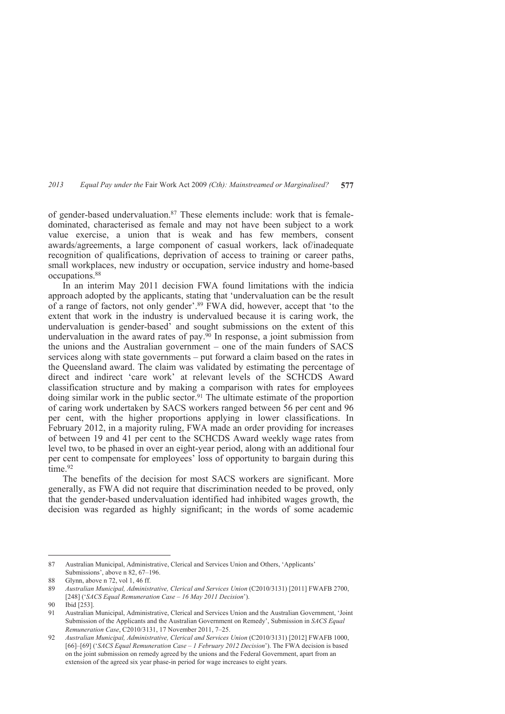of gender-based undervaluation.<sup>87</sup> These elements include: work that is femaledominated, characterised as female and may not have been subject to a work value exercise, a union that is weak and has few members, consent awards/agreements, a large component of casual workers, lack of/inadequate recognition of qualifications, deprivation of access to training or career paths, small workplaces, new industry or occupation, service industry and home-based occupations.<sup>88</sup>

In an interim May 2011 decision FWA found limitations with the indicia approach adopted by the applicants, stating that 'undervaluation can be the result of a range of factors, not only gender'.89 FWA did, however, accept that 'to the extent that work in the industry is undervalued because it is caring work, the undervaluation is gender-based' and sought submissions on the extent of this undervaluation in the award rates of pay. $\frac{90}{90}$  In response, a joint submission from the unions and the Australian government – one of the main funders of SACS services along with state governments – put forward a claim based on the rates in the Queensland award. The claim was validated by estimating the percentage of direct and indirect 'care work' at relevant levels of the SCHCDS Award classification structure and by making a comparison with rates for employees doing similar work in the public sector.91 The ultimate estimate of the proportion of caring work undertaken by SACS workers ranged between 56 per cent and 96 per cent, with the higher proportions applying in lower classifications. In February 2012, in a majority ruling, FWA made an order providing for increases of between 19 and 41 per cent to the SCHCDS Award weekly wage rates from level two, to be phased in over an eight-year period, along with an additional four per cent to compensate for employees' loss of opportunity to bargain during this time<sup>92</sup>

The benefits of the decision for most SACS workers are significant. More generally, as FWA did not require that discrimination needed to be proved, only that the gender-based undervaluation identified had inhibited wages growth, the decision was regarded as highly significant; in the words of some academic

<sup>87</sup> Australian Municipal, Administrative, Clerical and Services Union and Others, 'Applicants' Submissions', above n 82, 67–196.

<sup>88</sup> Glynn, above n 72, vol 1, 46 ff.

<sup>89</sup> *Australian Municipal, Administrative, Clerical and Services Union* (C2010/3131) [2011] FWAFB 2700, [248] ('*SACS Equal Remuneration Case – 16 May 2011 Decision*').

<sup>90</sup> Ibid [253].

<sup>91</sup> Australian Municipal, Administrative, Clerical and Services Union and the Australian Government, 'Joint Submission of the Applicants and the Australian Government on Remedy', Submission in *SACS Equal Remuneration Case*, C2010/3131, 17 November 2011, 7–25.

<sup>92</sup> *Australian Municipal, Administrative, Clerical and Services Union (C2010/3131)* [2012] FWAFB 1000, [66]–[69] ('*SACS Equal Remuneration Case – 1 February 2012 Decision*'). The FWA decision is based on the joint submission on remedy agreed by the unions and the Federal Government, apart from an extension of the agreed six year phase-in period for wage increases to eight years.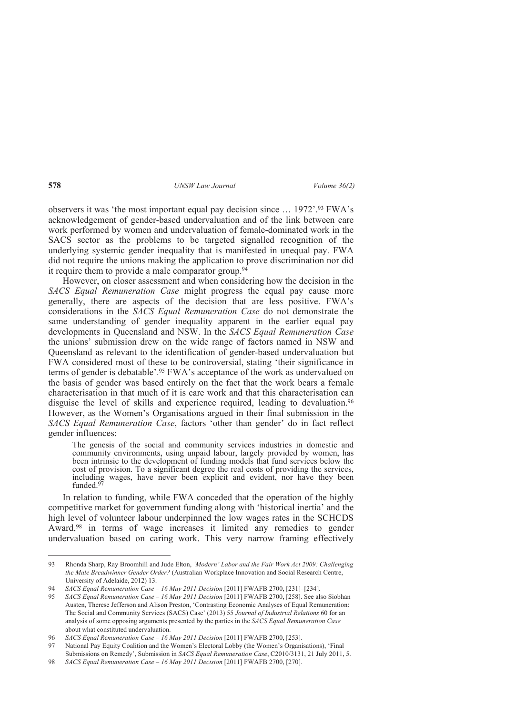observers it was 'the most important equal pay decision since … 1972'.93 FWA's acknowledgement of gender-based undervaluation and of the link between care work performed by women and undervaluation of female-dominated work in the SACS sector as the problems to be targeted signalled recognition of the underlying systemic gender inequality that is manifested in unequal pay. FWA did not require the unions making the application to prove discrimination nor did it require them to provide a male comparator group. $94$ 

However, on closer assessment and when considering how the decision in the *SACS Equal Remuneration Case* might progress the equal pay cause more generally, there are aspects of the decision that are less positive. FWA's considerations in the *SACS Equal Remuneration Case* do not demonstrate the same understanding of gender inequality apparent in the earlier equal pay developments in Queensland and NSW. In the *SACS Equal Remuneration Case* the unions' submission drew on the wide range of factors named in NSW and Queensland as relevant to the identification of gender-based undervaluation but FWA considered most of these to be controversial, stating 'their significance in terms of gender is debatable'.95 FWA's acceptance of the work as undervalued on the basis of gender was based entirely on the fact that the work bears a female characterisation in that much of it is care work and that this characterisation can disguise the level of skills and experience required, leading to devaluation.<sup>96</sup> However, as the Women's Organisations argued in their final submission in the *SACS Equal Remuneration Case*, factors 'other than gender' do in fact reflect gender influences:

The genesis of the social and community services industries in domestic and community environments, using unpaid labour, largely provided by women, has been intrinsic to the development of funding models that fund services below the cost of provision. To a significant degree the real costs of providing the services, including wages, have never been explicit and evident, nor have they been funded.<sup>97</sup>

In relation to funding, while FWA conceded that the operation of the highly competitive market for government funding along with 'historical inertia' and the high level of volunteer labour underpinned the low wages rates in the SCHCDS Award,<sup>98</sup> in terms of wage increases it limited any remedies to gender undervaluation based on caring work. This very narrow framing effectively

<sup>93</sup> Rhonda Sharp, Ray Broomhill and Jude Elton, *'Modern' Labor and the Fair Work Act 2009: Challenging the Male Breadwinner Gender Order?* (Australian Workplace Innovation and Social Research Centre, University of Adelaide, 2012) 13.

<sup>94</sup> *SACS Equal Remuneration Case – 16 May 2011 Decision* [2011] FWAFB 2700, [231]–[234].

<sup>95</sup> *SACS Equal Remuneration Case – 16 May 2011 Decision* [2011] FWAFB 2700, [258]. See also Siobhan Austen, Therese Jefferson and Alison Preston, 'Contrasting Economic Analyses of Equal Remuneration: The Social and Community Services (SACS) Case' (2013) 55 *Journal of Industrial Relations* 60 for an analysis of some opposing arguments presented by the parties in the *SACS Equal Remuneration Case*  about what constituted undervaluation.

<sup>96</sup> *SACS Equal Remuneration Case – 16 May 2011 Decision* [2011] FWAFB 2700, [253].

<sup>97</sup> National Pay Equity Coalition and the Women's Electoral Lobby (the Women's Organisations), 'Final Submissions on Remedy', Submission in *SACS Equal Remuneration Case*, C2010/3131, 21 July 2011, 5.

<sup>98</sup> *SACS Equal Remuneration Case – 16 May 2011 Decision* [2011] FWAFB 2700, [270].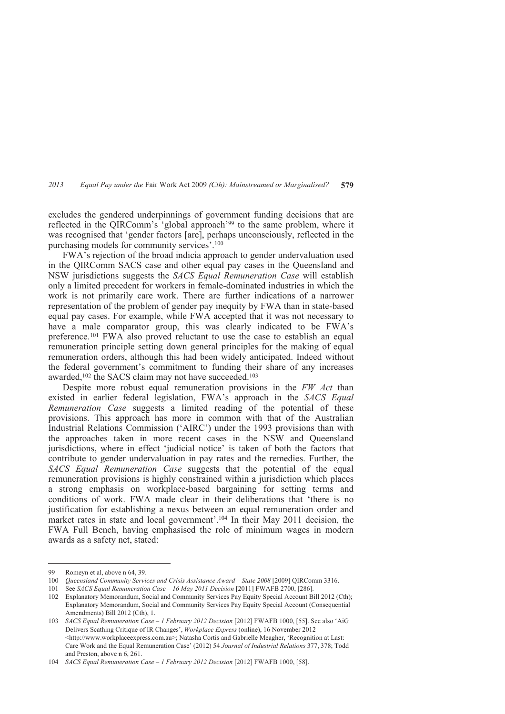excludes the gendered underpinnings of government funding decisions that are reflected in the QIRComm's 'global approach'99 to the same problem, where it was recognised that 'gender factors [are], perhaps unconsciously, reflected in the purchasing models for community services'.<sup>100</sup>

FWA's rejection of the broad indicia approach to gender undervaluation used in the QIRComm SACS case and other equal pay cases in the Queensland and NSW jurisdictions suggests the *SACS Equal Remuneration Case* will establish only a limited precedent for workers in female-dominated industries in which the work is not primarily care work. There are further indications of a narrower representation of the problem of gender pay inequity by FWA than in state-based equal pay cases. For example, while FWA accepted that it was not necessary to have a male comparator group, this was clearly indicated to be FWA's preference.101 FWA also proved reluctant to use the case to establish an equal remuneration principle setting down general principles for the making of equal remuneration orders, although this had been widely anticipated. Indeed without the federal government's commitment to funding their share of any increases awarded,<sup>102</sup> the SACS claim may not have succeeded.<sup>103</sup>

Despite more robust equal remuneration provisions in the *FW Act* than existed in earlier federal legislation, FWA's approach in the *SACS Equal Remuneration Case* suggests a limited reading of the potential of these provisions. This approach has more in common with that of the Australian Industrial Relations Commission ('AIRC') under the 1993 provisions than with the approaches taken in more recent cases in the NSW and Queensland jurisdictions, where in effect 'judicial notice' is taken of both the factors that contribute to gender undervaluation in pay rates and the remedies. Further, the *SACS Equal Remuneration Case* suggests that the potential of the equal remuneration provisions is highly constrained within a jurisdiction which places a strong emphasis on workplace-based bargaining for setting terms and conditions of work. FWA made clear in their deliberations that 'there is no justification for establishing a nexus between an equal remuneration order and market rates in state and local government'.104 In their May 2011 decision, the FWA Full Bench, having emphasised the role of minimum wages in modern awards as a safety net, stated:

<sup>99</sup> Romeyn et al, above n 64, 39.

<sup>100</sup> *Queensland Community Services and Crisis Assistance Award – State 2008* [2009] QIRComm 3316.

<sup>101</sup> See *SACS Equal Remuneration Case – 16 May 2011 Decision* [2011] FWAFB 2700, [286].

<sup>102</sup> Explanatory Memorandum, Social and Community Services Pay Equity Special Account Bill 2012 (Cth); Explanatory Memorandum, Social and Community Services Pay Equity Special Account (Consequential Amendments) Bill 2012 (Cth), 1.

<sup>103</sup> *SACS Equal Remuneration Case – 1 February 2012 Decision* [2012] FWAFB 1000, [55]. See also 'AiG Delivers Scathing Critique of IR Changes', *Workplace Express* (online), 16 November 2012 <http://www.workplaceexpress.com.au>; Natasha Cortis and Gabrielle Meagher, 'Recognition at Last: Care Work and the Equal Remuneration Case' (2012) 54 *Journal of Industrial Relations* 377, 378; Todd and Preston, above n 6, 261.

<sup>104</sup> *SACS Equal Remuneration Case – 1 February 2012 Decision* [2012] FWAFB 1000, [58].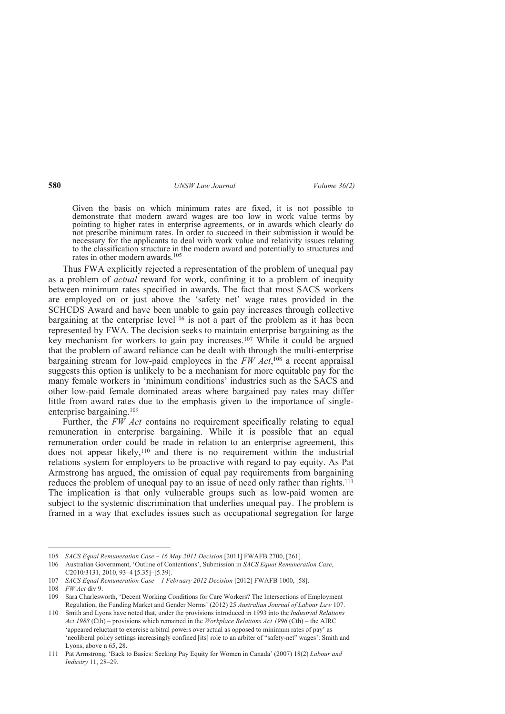Given the basis on which minimum rates are fixed, it is not possible to demonstrate that modern award wages are too low in work value terms by pointing to higher rates in enterprise agreements, or in awards which clearly do not prescribe minimum rates. In order to succeed in their submission it would be necessary for the applicants to deal with work value and relativity issues relating to the classification structure in the modern award and potentially to structures and rates in other modern awards.<sup>105</sup>

Thus FWA explicitly rejected a representation of the problem of unequal pay as a problem of *actual* reward for work, confining it to a problem of inequity between minimum rates specified in awards. The fact that most SACS workers are employed on or just above the 'safety net' wage rates provided in the SCHCDS Award and have been unable to gain pay increases through collective bargaining at the enterprise level<sup>106</sup> is not a part of the problem as it has been represented by FWA. The decision seeks to maintain enterprise bargaining as the key mechanism for workers to gain pay increases.107 While it could be argued that the problem of award reliance can be dealt with through the multi-enterprise bargaining stream for low-paid employees in the *FW Act*, <sup>108</sup> a recent appraisal suggests this option is unlikely to be a mechanism for more equitable pay for the many female workers in 'minimum conditions' industries such as the SACS and other low-paid female dominated areas where bargained pay rates may differ little from award rates due to the emphasis given to the importance of singleenterprise bargaining.<sup>109</sup>

Further, the *FW Act* contains no requirement specifically relating to equal remuneration in enterprise bargaining. While it is possible that an equal remuneration order could be made in relation to an enterprise agreement, this does not appear likely,<sup>110</sup> and there is no requirement within the industrial relations system for employers to be proactive with regard to pay equity. As Pat Armstrong has argued, the omission of equal pay requirements from bargaining reduces the problem of unequal pay to an issue of need only rather than rights.<sup>111</sup> The implication is that only vulnerable groups such as low-paid women are subject to the systemic discrimination that underlies unequal pay. The problem is framed in a way that excludes issues such as occupational segregation for large

<sup>105</sup> *SACS Equal Remuneration Case – 16 May 2011 Decision* [2011] FWAFB 2700, [261].

<sup>106</sup> Australian Government, 'Outline of Contentions', Submission in *SACS Equal Remuneration Case*, C2010/3131, 2010, 93–4 [5.35]–[5.39].

<sup>107</sup> *SACS Equal Remuneration Case – 1 February 2012 Decision* [2012] FWAFB 1000, [58].

<sup>108</sup> *FW Act* div 9.

<sup>109</sup> Sara Charlesworth, 'Decent Working Conditions for Care Workers? The Intersections of Employment Regulation, the Funding Market and Gender Norms' (2012) 25 *Australian Journal of Labour Law* 107.

<sup>110</sup> Smith and Lyons have noted that, under the provisions introduced in 1993 into the *Industrial Relations Act 1988* (Cth) – provisions which remained in the *Workplace Relations Act 1996* (Cth) – the AIRC 'appeared reluctant to exercise arbitral powers over actual as opposed to minimum rates of pay' as 'neoliberal policy settings increasingly confined [its] role to an arbiter of "safety-net" wages': Smith and Lyons, above n 65, 28.

<sup>111</sup> Pat Armstrong, 'Back to Basics: Seeking Pay Equity for Women in Canada' (2007) 18(2) *Labour and Industry* 11, 28–29.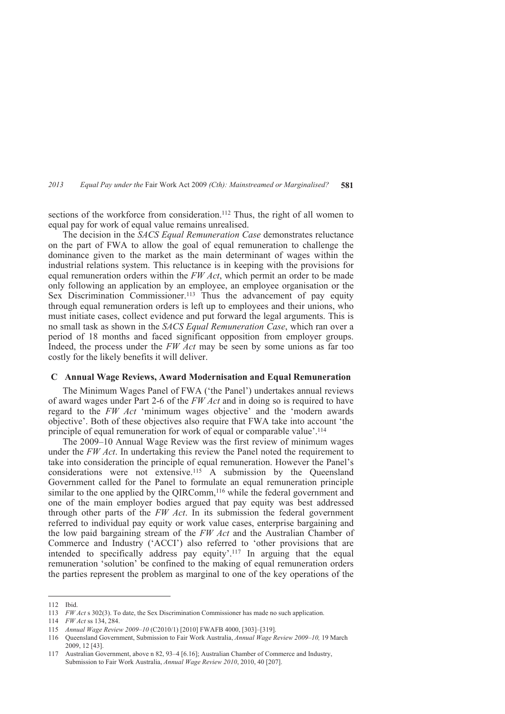sections of the workforce from consideration.<sup>112</sup> Thus, the right of all women to equal pay for work of equal value remains unrealised.

The decision in the *SACS Equal Remuneration Case* demonstrates reluctance on the part of FWA to allow the goal of equal remuneration to challenge the dominance given to the market as the main determinant of wages within the industrial relations system. This reluctance is in keeping with the provisions for equal remuneration orders within the *FW Act*, which permit an order to be made only following an application by an employee, an employee organisation or the Sex Discrimination Commissioner.113 Thus the advancement of pay equity through equal remuneration orders is left up to employees and their unions, who must initiate cases, collect evidence and put forward the legal arguments. This is no small task as shown in the *SACS Equal Remuneration Case*, which ran over a period of 18 months and faced significant opposition from employer groups. Indeed, the process under the *FW Act* may be seen by some unions as far too costly for the likely benefits it will deliver.

#### **C Annual Wage Reviews, Award Modernisation and Equal Remuneration**

The Minimum Wages Panel of FWA ('the Panel') undertakes annual reviews of award wages under Part 2-6 of the *FW Act* and in doing so is required to have regard to the *FW Act* 'minimum wages objective' and the 'modern awards objective'. Both of these objectives also require that FWA take into account 'the principle of equal remuneration for work of equal or comparable value'.<sup>114</sup>

The 2009–10 Annual Wage Review was the first review of minimum wages under the *FW Act*. In undertaking this review the Panel noted the requirement to take into consideration the principle of equal remuneration. However the Panel's considerations were not extensive.115 A submission by the Queensland Government called for the Panel to formulate an equal remuneration principle similar to the one applied by the QIRComm,<sup>116</sup> while the federal government and one of the main employer bodies argued that pay equity was best addressed through other parts of the *FW Act*. In its submission the federal government referred to individual pay equity or work value cases, enterprise bargaining and the low paid bargaining stream of the *FW Act* and the Australian Chamber of Commerce and Industry ('ACCI') also referred to 'other provisions that are intended to specifically address pay equity'.117 In arguing that the equal remuneration 'solution' be confined to the making of equal remuneration orders the parties represent the problem as marginal to one of the key operations of the

<sup>112</sup> Ibid.

<sup>113</sup> *FW Act* s 302(3). To date, the Sex Discrimination Commissioner has made no such application.

<sup>114</sup> *FW Act* ss 134, 284.

<sup>115</sup> *Annual Wage Review 2009–10* (C2010/1) [2010] FWAFB 4000, [303]–[319].

<sup>116</sup> Queensland Government, Submission to Fair Work Australia, *Annual Wage Review 2009–10,* 19 March 2009, 12 [43].

<sup>117</sup> Australian Government, above n 82, 93–4 [6.16]; Australian Chamber of Commerce and Industry, Submission to Fair Work Australia, *Annual Wage Review 2010*, 2010, 40 [207].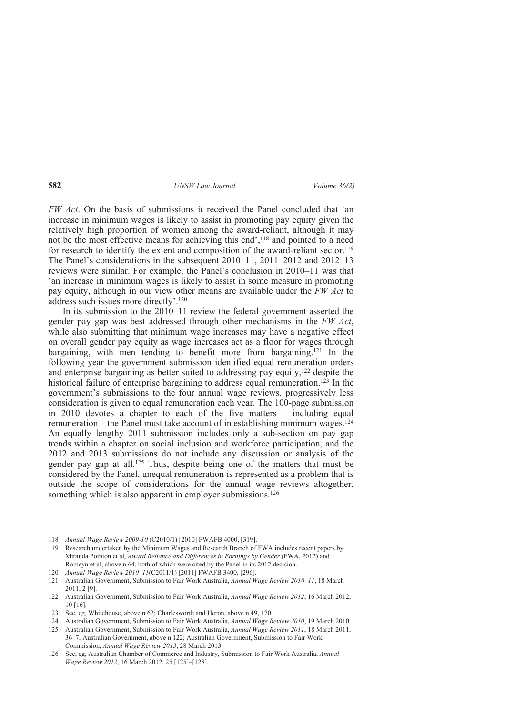*FW Act*. On the basis of submissions it received the Panel concluded that 'an increase in minimum wages is likely to assist in promoting pay equity given the relatively high proportion of women among the award-reliant, although it may not be the most effective means for achieving this end',<sup>118</sup> and pointed to a need for research to identify the extent and composition of the award-reliant sector.<sup>119</sup> The Panel's considerations in the subsequent 2010–11, 2011–2012 and 2012–13 reviews were similar. For example, the Panel's conclusion in 2010–11 was that 'an increase in minimum wages is likely to assist in some measure in promoting pay equity, although in our view other means are available under the *FW Act* to address such issues more directly'.<sup>120</sup>

In its submission to the 2010–11 review the federal government asserted the gender pay gap was best addressed through other mechanisms in the *FW Act*, while also submitting that minimum wage increases may have a negative effect on overall gender pay equity as wage increases act as a floor for wages through bargaining, with men tending to benefit more from bargaining.121 In the following year the government submission identified equal remuneration orders and enterprise bargaining as better suited to addressing pay equity,122 despite the historical failure of enterprise bargaining to address equal remuneration.<sup>123</sup> In the government's submissions to the four annual wage reviews, progressively less consideration is given to equal remuneration each year. The 100-page submission in 2010 devotes a chapter to each of the five matters – including equal remuneration – the Panel must take account of in establishing minimum wages.<sup>124</sup> An equally lengthy 2011 submission includes only a sub-section on pay gap trends within a chapter on social inclusion and workforce participation, and the 2012 and 2013 submissions do not include any discussion or analysis of the gender pay gap at all.125 Thus, despite being one of the matters that must be considered by the Panel, unequal remuneration is represented as a problem that is outside the scope of considerations for the annual wage reviews altogether, something which is also apparent in employer submissions.<sup>126</sup>

<sup>118</sup> *Annual Wage Review 2009-10* (C2010/1) [2010] FWAFB 4000, [319].

<sup>119</sup> Research undertaken by the Minimum Wages and Research Branch of FWA includes recent papers by Miranda Pointon et al, *Award Reliance and Differences in Earnings by Gender* (FWA, 2012) and Romeyn et al, above n 64, both of which were cited by the Panel in its 2012 decision.

<sup>120</sup> *Annual Wage Review 2010–11*(C2011/1) [2011] FWAFB 3400, [296].

<sup>121</sup> Australian Government, Submission to Fair Work Australia, *Annual Wage Review 2010–11*, 18 March 2011, 2 [9].

<sup>122</sup> Australian Government, Submission to Fair Work Australia, *Annual Wage Review 2012*, 16 March 2012, 10 [16].

<sup>123</sup> See, eg, Whitehouse, above n 62; Charlesworth and Heron, above n 49, 170.

<sup>124</sup> Australian Government, Submission to Fair Work Australia, *Annual Wage Review 2010*, 19 March 2010.

<sup>125</sup> Australian Government, Submission to Fair Work Australia, *Annual Wage Review 2011*, 18 March 2011, 36–7; Australian Government, above n 122; Australian Government, Submission to Fair Work Commission, *Annual Wage Review 2013*, 28 March 2013.

<sup>126</sup> See, eg, Australian Chamber of Commerce and Industry, Submission to Fair Work Australia, *Annual Wage Review 2012*, 16 March 2012, 25 [125]–[128].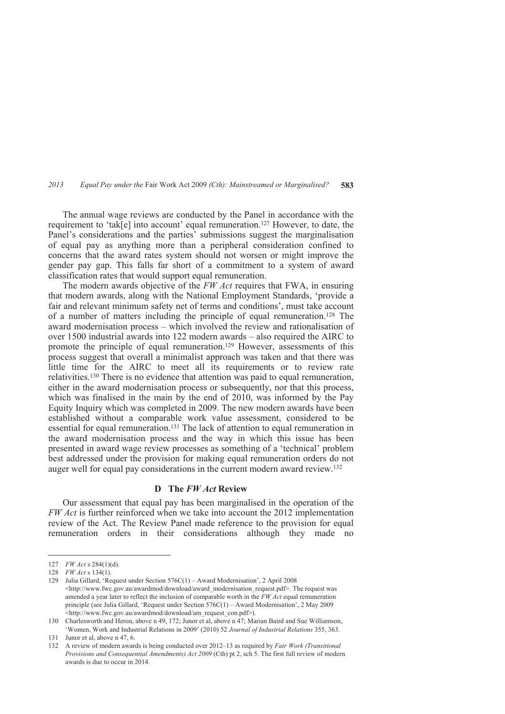The annual wage reviews are conducted by the Panel in accordance with the requirement to 'tak[e] into account' equal remuneration.127 However, to date, the Panel's considerations and the parties' submissions suggest the marginalisation of equal pay as anything more than a peripheral consideration confined to concerns that the award rates system should not worsen or might improve the gender pay gap. This falls far short of a commitment to a system of award classification rates that would support equal remuneration.

The modern awards objective of the *FW Act* requires that FWA, in ensuring that modern awards, along with the National Employment Standards, 'provide a fair and relevant minimum safety net of terms and conditions', must take account of a number of matters including the principle of equal remuneration.128 The award modernisation process – which involved the review and rationalisation of over 1500 industrial awards into 122 modern awards – also required the AIRC to promote the principle of equal remuneration.129 However, assessments of this process suggest that overall a minimalist approach was taken and that there was little time for the AIRC to meet all its requirements or to review rate relativities.130 There is no evidence that attention was paid to equal remuneration, either in the award modernisation process or subsequently, nor that this process, which was finalised in the main by the end of 2010, was informed by the Pay Equity Inquiry which was completed in 2009. The new modern awards have been established without a comparable work value assessment, considered to be essential for equal remuneration.131 The lack of attention to equal remuneration in the award modernisation process and the way in which this issue has been presented in award wage review processes as something of a 'technical' problem best addressed under the provision for making equal remuneration orders do not auger well for equal pay considerations in the current modern award review.<sup>132</sup>

### **D The** *FW Act* **Review**

Our assessment that equal pay has been marginalised in the operation of the *FW Act* is further reinforced when we take into account the 2012 implementation review of the Act. The Review Panel made reference to the provision for equal remuneration orders in their considerations although they made no

 $\overline{a}$ 

132 A review of modern awards is being conducted over 2012–13 as required by *Fair Work (Transitional Provisions and Consequential Amendments) Act 2009* (Cth) pt 2, sch 5. The first full review of modern awards is due to occur in 2014.

<sup>127</sup> *FW Act* s 284(1)(d).

<sup>128</sup> *FW Act* s 134(1).

<sup>129</sup> Julia Gillard, 'Request under Section 576C(1) – Award Modernisation', 2 April 2008 <http://www.fwc.gov.au/awardmod/download/award\_modernisation\_request.pdf>. The request was amended a year later to reflect the inclusion of comparable worth in the *FW Act* equal remuneration principle (see Julia Gillard, 'Request under Section 576C(1) – Award Modernisation', 2 May 2009 <http://www.fwc.gov.au/awardmod/download/am\_request\_con.pdf>).

<sup>130</sup> Charlesworth and Heron, above n 49, 172; Junor et al, above n 47; Marian Baird and Sue Williamson, 'Women, Work and Industrial Relations in 2009' (2010) 52 *Journal of Industrial Relations* 355, 363.

<sup>131</sup> Junor et al, above n 47, 6.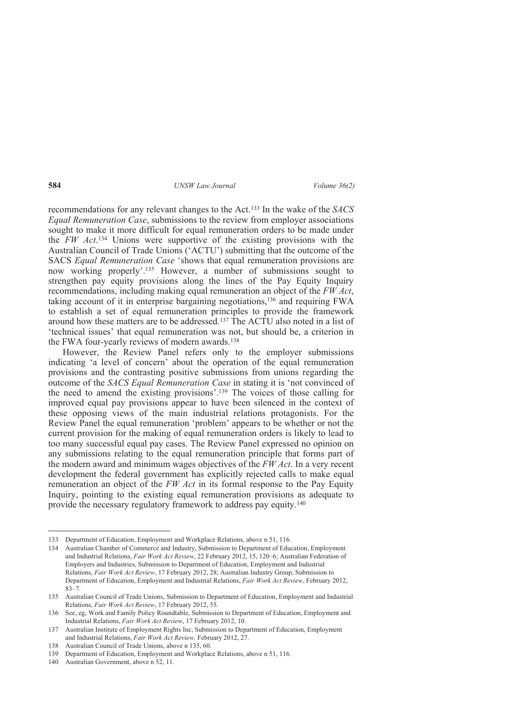recommendations for any relevant changes to the Act. <sup>133</sup> In the wake of the *SACS Equal Remuneration Case*, submissions to the review from employer associations sought to make it more difficult for equal remuneration orders to be made under the *FW Act*. <sup>134</sup> Unions were supportive of the existing provisions with the Australian Council of Trade Unions ('ACTU') submitting that the outcome of the SACS *Equal Remuneration Case* 'shows that equal remuneration provisions are now working properly'.135 However, a number of submissions sought to strengthen pay equity provisions along the lines of the Pay Equity Inquiry recommendations, including making equal remuneration an object of the *FW Act*, taking account of it in enterprise bargaining negotiations,136 and requiring FWA to establish a set of equal remuneration principles to provide the framework around how these matters are to be addressed.137 The ACTU also noted in a list of 'technical issues' that equal remuneration was not, but should be, a criterion in the FWA four-yearly reviews of modern awards.<sup>138</sup>

However, the Review Panel refers only to the employer submissions indicating 'a level of concern' about the operation of the equal remuneration provisions and the contrasting positive submissions from unions regarding the outcome of the *SACS Equal Remuneration Case* in stating it is 'not convinced of the need to amend the existing provisions'.139 The voices of those calling for improved equal pay provisions appear to have been silenced in the context of these opposing views of the main industrial relations protagonists. For the Review Panel the equal remuneration 'problem' appears to be whether or not the current provision for the making of equal remuneration orders is likely to lead to too many successful equal pay cases. The Review Panel expressed no opinion on any submissions relating to the equal remuneration principle that forms part of the modern award and minimum wages objectives of the *FW Act*. In a very recent development the federal government has explicitly rejected calls to make equal remuneration an object of the *FW Act* in its formal response to the Pay Equity Inquiry, pointing to the existing equal remuneration provisions as adequate to provide the necessary regulatory framework to address pay equity.<sup>140</sup>

<sup>133</sup> Department of Education, Employment and Workplace Relations, above n 51, 116.

<sup>134</sup> Australian Chamber of Commerce and Industry, Submission to Department of Education, Employment and Industrial Relations, *Fair Work Act Review*, 22 February 2012, 15, 120–6; Australian Federation of Employers and Industries, Submission to Department of Education, Employment and Industrial Relations, *Fair Work Act Review*, 17 February 2012, 28; Australian Industry Group, Submission to Department of Education, Employment and Industrial Relations, *Fair Work Act Review*, February 2012, 83–7.

<sup>135</sup> Australian Council of Trade Unions, Submission to Department of Education, Employment and Industrial Relations, *Fair Work Act Review*, 17 February 2012, 55.

<sup>136</sup> See, eg, Work and Family Policy Roundtable, Submission to Department of Education, Employment and Industrial Relations, *Fair Work Act Review*, 17 February 2012, 10.

<sup>137</sup> Australian Institute of Employment Rights Inc, Submission to Department of Education, Employment and Industrial Relations, *Fair Work Act Review,* February 2012, 27.

<sup>138</sup> Australian Council of Trade Unions, above n 135, 60.

<sup>139</sup> Department of Education, Employment and Workplace Relations, above n 51, 116.

<sup>140</sup> Australian Government, above n 52, 11.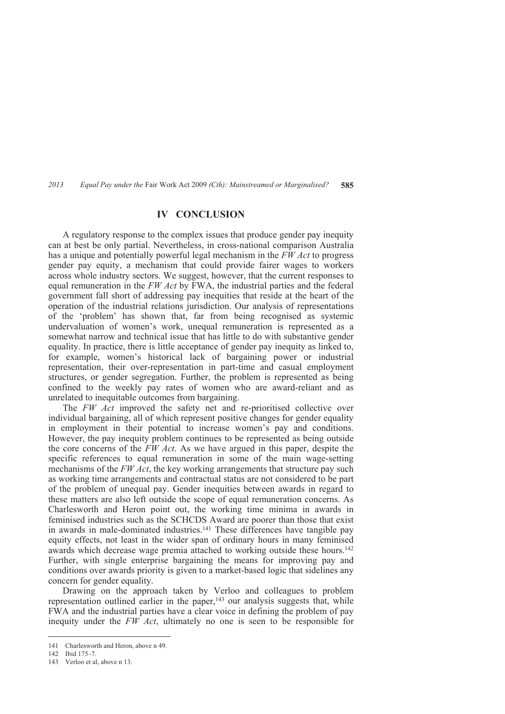# **IV CONCLUSION**

A regulatory response to the complex issues that produce gender pay inequity can at best be only partial. Nevertheless, in cross-national comparison Australia has a unique and potentially powerful legal mechanism in the *FW Act* to progress gender pay equity, a mechanism that could provide fairer wages to workers across whole industry sectors. We suggest, however, that the current responses to equal remuneration in the *FW Act* by FWA, the industrial parties and the federal government fall short of addressing pay inequities that reside at the heart of the operation of the industrial relations jurisdiction. Our analysis of representations of the 'problem' has shown that, far from being recognised as systemic undervaluation of women's work, unequal remuneration is represented as a somewhat narrow and technical issue that has little to do with substantive gender equality. In practice, there is little acceptance of gender pay inequity as linked to, for example, women's historical lack of bargaining power or industrial representation, their over-representation in part-time and casual employment structures, or gender segregation. Further, the problem is represented as being confined to the weekly pay rates of women who are award-reliant and as unrelated to inequitable outcomes from bargaining.

The *FW Act* improved the safety net and re-prioritised collective over individual bargaining, all of which represent positive changes for gender equality in employment in their potential to increase women's pay and conditions. However, the pay inequity problem continues to be represented as being outside the core concerns of the *FW Act*. As we have argued in this paper, despite the specific references to equal remuneration in some of the main wage-setting mechanisms of the *FW Act*, the key working arrangements that structure pay such as working time arrangements and contractual status are not considered to be part of the problem of unequal pay. Gender inequities between awards in regard to these matters are also left outside the scope of equal remuneration concerns. As Charlesworth and Heron point out, the working time minima in awards in feminised industries such as the SCHCDS Award are poorer than those that exist in awards in male-dominated industries.141 These differences have tangible pay equity effects, not least in the wider span of ordinary hours in many feminised awards which decrease wage premia attached to working outside these hours.<sup>142</sup> Further, with single enterprise bargaining the means for improving pay and conditions over awards priority is given to a market-based logic that sidelines any concern for gender equality.

Drawing on the approach taken by Verloo and colleagues to problem representation outlined earlier in the paper,<sup>143</sup> our analysis suggests that, while FWA and the industrial parties have a clear voice in defining the problem of pay inequity under the *FW Act*, ultimately no one is seen to be responsible for

<sup>141</sup> Charlesworth and Heron, above n 49.

<sup>142</sup> Ibid 175–7.

<sup>143</sup> Verloo et al, above n 13.